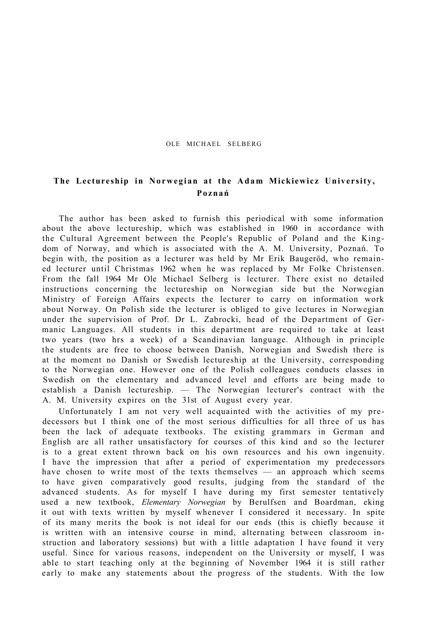## OLE MICHAEL SELBERG

## **The Lectureship in Norwegian at the Adam Mickiewic z University, Poznań**

The author has been asked to furnish this periodical with some information about the above lectureship, which was established in 1960 in accordance with the Cultural Agreement between the People's Republic of Poland and the Kingdom of Norway, and which is associated with the A. M. University, Poznań. To begin with, the position as a lecturer was held by Mr Erik Baugeröd, who remained lecturer until Christmas 1962 when he was replaced by Mr Folke Christensen. From the fall 1964 Mr Ole Michael Selberg is lecturer. There exist no detailed instructions concerning the lectureship on Norwegian side but the Norwegian Ministry of Foreign Affairs expects the lecturer to carry on information work about Norway. On Polish side the lecturer is obliged to give lectures in Norwegian under the supervision of Prof. Dr L. Zabrocki, head of the Department of Germanic Languages. All students in this department are required to take at least two years (two hrs a week) of a Scandinavian language. Although in principle the students are free to choose between Danish, Norwegian and Swedish there is at the moment no Danish or Swedish lectureship at the University, corresponding to the Norwegian one. However one of the Polish colleagues conducts classes in Swedish on the elementary and advanced level and efforts are being made to establish a Danish lectureship. — The Norwegian lecturer's contract with the A. M. University expires on the 31st of August every year.

Unfortunately I am not very well acquainted with the activities of my predecessors but I think one of the most serious difficulties for all three of us has been the lack of adequate textbooks. The existing grammars in German and English are all rather unsatisfactory for courses of this kind and so the lecturer is to a great extent thrown back on his own resources and his own ingenuity. I have the impression that after a period of experimentation my predecessors have chosen to write most of the texts themselves — an approach which seems to have given comparatively good results, judging from the standard of the advanced students. As for myself I have during my first semester tentatively used a new textbook, *Elementary Norwegian* by Berulfsen and Boardman, eking it out with texts written by myself whenever I considered it necessary. In spite of its many merits the book is not ideal for our ends (this is chiefly because it is written with an intensive course in mind, alternating between classroom instruction and laboratory sessions) but with a little adaptation I have found it very useful. Since for various reasons, independent on the University or myself, I was able to start teaching only at the beginning of November 1964 it is still rather early to make any statements about the progress of the students. With the low